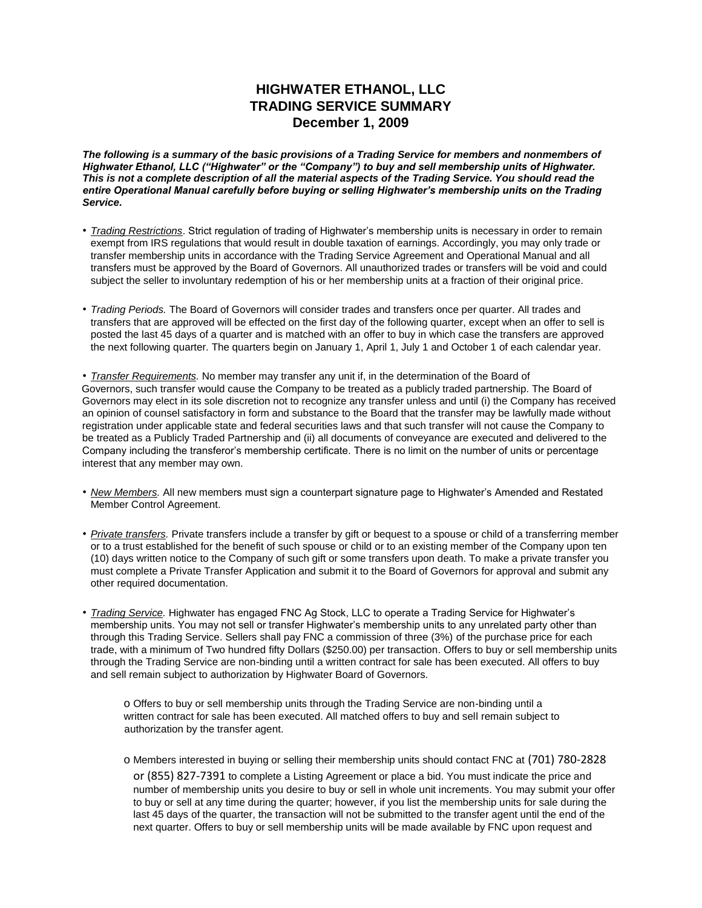### **HIGHWATER ETHANOL, LLC TRADING SERVICE SUMMARY December 1, 2009**

*The following is a summary of the basic provisions of a Trading Service for members and nonmembers of Highwater Ethanol, LLC ("Highwater" or the "Company") to buy and sell membership units of Highwater. This is not a complete description of all the material aspects of the Trading Service. You should read the entire Operational Manual carefully before buying or selling Highwater's membership units on the Trading Service.* 

- *Trading Restrictions*. Strict regulation of trading of Highwater's membership units is necessary in order to remain exempt from IRS regulations that would result in double taxation of earnings. Accordingly, you may only trade or transfer membership units in accordance with the Trading Service Agreement and Operational Manual and all transfers must be approved by the Board of Governors. All unauthorized trades or transfers will be void and could subject the seller to involuntary redemption of his or her membership units at a fraction of their original price.
- *Trading Periods.* The Board of Governors will consider trades and transfers once per quarter. All trades and transfers that are approved will be effected on the first day of the following quarter, except when an offer to sell is posted the last 45 days of a quarter and is matched with an offer to buy in which case the transfers are approved the next following quarter. The quarters begin on January 1, April 1, July 1 and October 1 of each calendar year.

• *Transfer Requirements.* No member may transfer any unit if, in the determination of the Board of Governors, such transfer would cause the Company to be treated as a publicly traded partnership. The Board of Governors may elect in its sole discretion not to recognize any transfer unless and until (i) the Company has received an opinion of counsel satisfactory in form and substance to the Board that the transfer may be lawfully made without registration under applicable state and federal securities laws and that such transfer will not cause the Company to be treated as a Publicly Traded Partnership and (ii) all documents of conveyance are executed and delivered to the Company including the transferor's membership certificate. There is no limit on the number of units or percentage interest that any member may own.

- *New Members.* All new members must sign a counterpart signature page to Highwater's Amended and Restated Member Control Agreement.
- *Private transfers.* Private transfers include a transfer by gift or bequest to a spouse or child of a transferring member or to a trust established for the benefit of such spouse or child or to an existing member of the Company upon ten (10) days written notice to the Company of such gift or some transfers upon death. To make a private transfer you must complete a Private Transfer Application and submit it to the Board of Governors for approval and submit any other required documentation.
- *Trading Service.* Highwater has engaged FNC Ag Stock, LLC to operate a Trading Service for Highwater's membership units. You may not sell or transfer Highwater's membership units to any unrelated party other than through this Trading Service. Sellers shall pay FNC a commission of three (3%) of the purchase price for each trade, with a minimum of Two hundred fifty Dollars (\$250.00) per transaction. Offers to buy or sell membership units through the Trading Service are non-binding until a written contract for sale has been executed. All offers to buy and sell remain subject to authorization by Highwater Board of Governors.

o Offers to buy or sell membership units through the Trading Service are non-binding until a written contract for sale has been executed. All matched offers to buy and sell remain subject to authorization by the transfer agent.

o Members interested in buying or selling their membership units should contact FNC at (701) 780-2828 or (855) 827-7391 to complete a Listing Agreement or place a bid. You must indicate the price and number of membership units you desire to buy or sell in whole unit increments. You may submit your offer to buy or sell at any time during the quarter; however, if you list the membership units for sale during the last 45 days of the quarter, the transaction will not be submitted to the transfer agent until the end of the next quarter. Offers to buy or sell membership units will be made available by FNC upon request and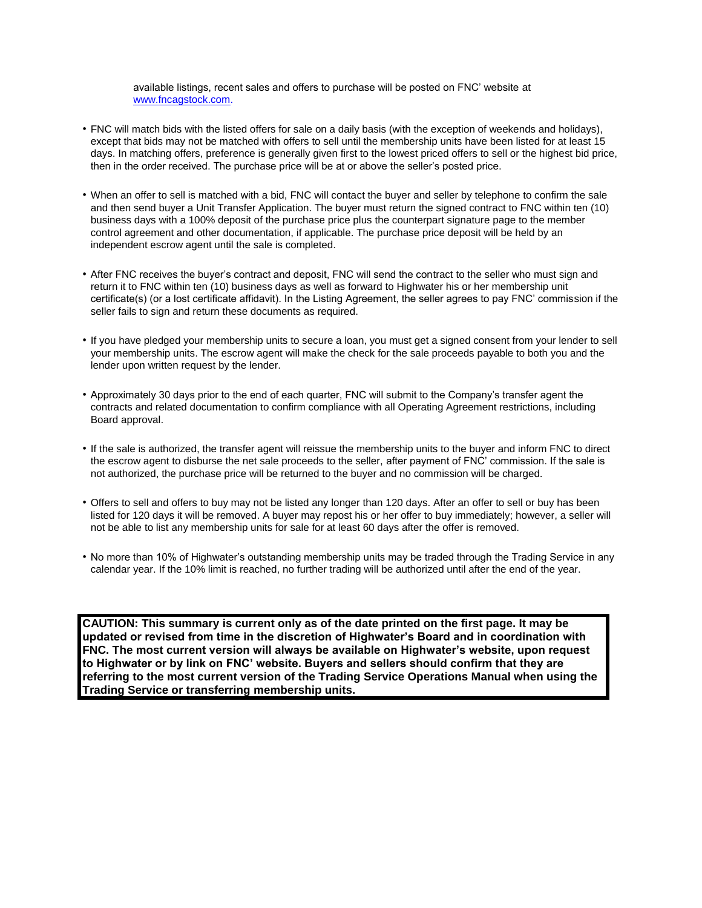available listings, recent sales and offers to purchase will be posted on FNC' website at [www.fncagstock.com.](http://www.fncagstock.com/)

- FNC will match bids with the listed offers for sale on a daily basis (with the exception of weekends and holidays), except that bids may not be matched with offers to sell until the membership units have been listed for at least 15 days. In matching offers, preference is generally given first to the lowest priced offers to sell or the highest bid price, then in the order received. The purchase price will be at or above the seller's posted price.
- When an offer to sell is matched with a bid, FNC will contact the buyer and seller by telephone to confirm the sale and then send buyer a Unit Transfer Application. The buyer must return the signed contract to FNC within ten (10) business days with a 100% deposit of the purchase price plus the counterpart signature page to the member control agreement and other documentation, if applicable. The purchase price deposit will be held by an independent escrow agent until the sale is completed.
- After FNC receives the buyer's contract and deposit, FNC will send the contract to the seller who must sign and return it to FNC within ten (10) business days as well as forward to Highwater his or her membership unit certificate(s) (or a lost certificate affidavit). In the Listing Agreement, the seller agrees to pay FNC' commission if the seller fails to sign and return these documents as required.
- If you have pledged your membership units to secure a loan, you must get a signed consent from your lender to sell your membership units. The escrow agent will make the check for the sale proceeds payable to both you and the lender upon written request by the lender.
- Approximately 30 days prior to the end of each quarter, FNC will submit to the Company's transfer agent the contracts and related documentation to confirm compliance with all Operating Agreement restrictions, including Board approval.
- If the sale is authorized, the transfer agent will reissue the membership units to the buyer and inform FNC to direct the escrow agent to disburse the net sale proceeds to the seller, after payment of FNC' commission. If the sale is not authorized, the purchase price will be returned to the buyer and no commission will be charged.
- Offers to sell and offers to buy may not be listed any longer than 120 days. After an offer to sell or buy has been listed for 120 days it will be removed. A buyer may repost his or her offer to buy immediately; however, a seller will not be able to list any membership units for sale for at least 60 days after the offer is removed.
- No more than 10% of Highwater's outstanding membership units may be traded through the Trading Service in any calendar year. If the 10% limit is reached, no further trading will be authorized until after the end of the year.

**CAUTION: This summary is current only as of the date printed on the first page. It may be updated or revised from time in the discretion of Highwater's Board and in coordination with FNC. The most current version will always be available on Highwater's website, upon request to Highwater or by link on FNC' website. Buyers and sellers should confirm that they are referring to the most current version of the Trading Service Operations Manual when using the Trading Service or transferring membership units.**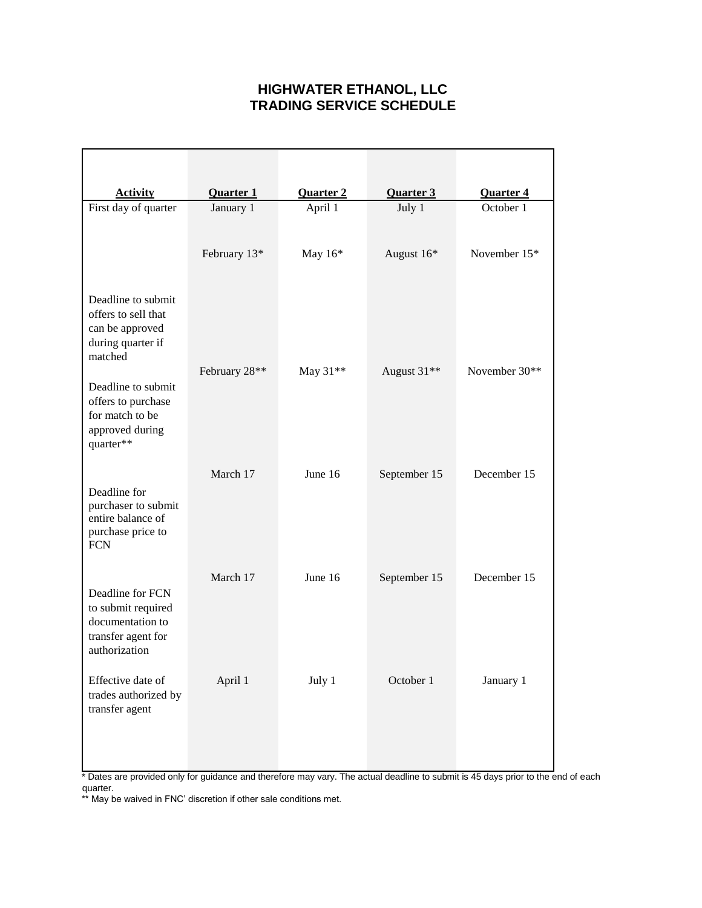## **HIGHWATER ETHANOL, LLC TRADING SERVICE SCHEDULE**

| <b>Activity</b>                                                                                   | <b>Quarter 1</b> | <b>Quarter 2</b> | <b>Quarter 3</b> | <b>Quarter 4</b> |
|---------------------------------------------------------------------------------------------------|------------------|------------------|------------------|------------------|
| First day of quarter                                                                              | January 1        | April 1          | July 1           | October 1        |
|                                                                                                   | February 13*     | May 16*          | August 16*       | November 15*     |
| Deadline to submit<br>offers to sell that<br>can be approved<br>during quarter if<br>matched      |                  |                  |                  |                  |
| Deadline to submit<br>offers to purchase<br>for match to be<br>approved during<br>quarter**       | February 28**    | May 31**         | August 31**      | November 30**    |
| Deadline for<br>purchaser to submit<br>entire balance of<br>purchase price to<br><b>FCN</b>       | March 17         | June 16          | September 15     | December 15      |
| Deadline for FCN<br>to submit required<br>documentation to<br>transfer agent for<br>authorization | March 17         | June 16          | September 15     | December 15      |
| Effective date of<br>trades authorized by<br>transfer agent                                       | April 1          | July 1           | October 1        | January 1        |

\* Dates are provided only for guidance and therefore may vary. The actual deadline to submit is 45 days prior to the end of each quarter.

\*\* May be waived in FNC' discretion if other sale conditions met.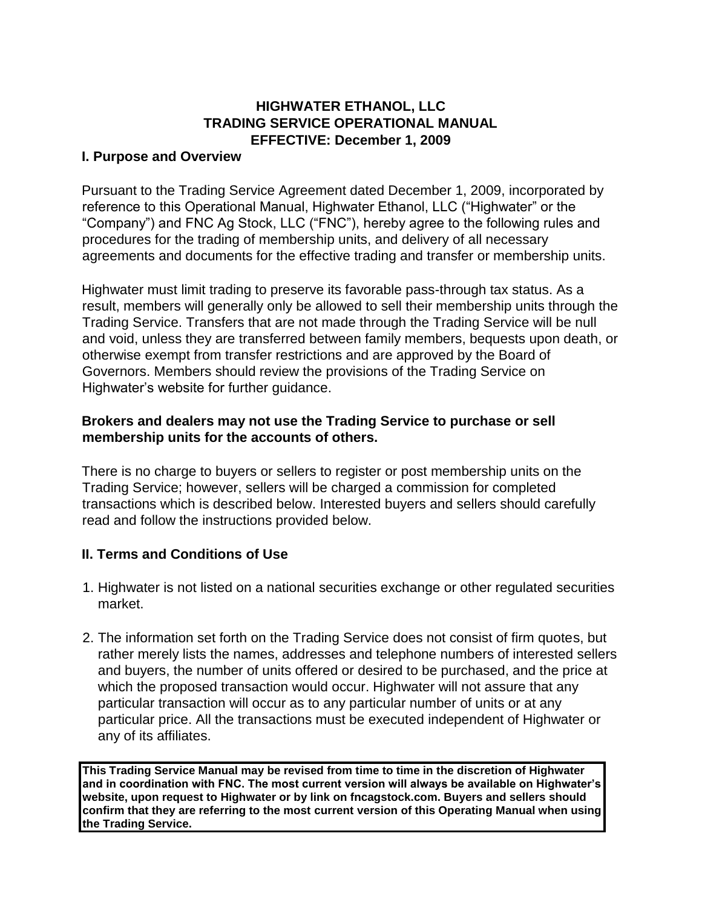## **HIGHWATER ETHANOL, LLC TRADING SERVICE OPERATIONAL MANUAL EFFECTIVE: December 1, 2009**

#### **I. Purpose and Overview**

Pursuant to the Trading Service Agreement dated December 1, 2009, incorporated by reference to this Operational Manual, Highwater Ethanol, LLC ("Highwater" or the "Company") and FNC Ag Stock, LLC ("FNC"), hereby agree to the following rules and procedures for the trading of membership units, and delivery of all necessary agreements and documents for the effective trading and transfer or membership units.

Highwater must limit trading to preserve its favorable pass-through tax status. As a result, members will generally only be allowed to sell their membership units through the Trading Service. Transfers that are not made through the Trading Service will be null and void, unless they are transferred between family members, bequests upon death, or otherwise exempt from transfer restrictions and are approved by the Board of Governors. Members should review the provisions of the Trading Service on Highwater's website for further guidance.

### **Brokers and dealers may not use the Trading Service to purchase or sell membership units for the accounts of others.**

There is no charge to buyers or sellers to register or post membership units on the Trading Service; however, sellers will be charged a commission for completed transactions which is described below. Interested buyers and sellers should carefully read and follow the instructions provided below.

## **II. Terms and Conditions of Use**

- 1. Highwater is not listed on a national securities exchange or other regulated securities market.
- 2. The information set forth on the Trading Service does not consist of firm quotes, but rather merely lists the names, addresses and telephone numbers of interested sellers and buyers, the number of units offered or desired to be purchased, and the price at which the proposed transaction would occur. Highwater will not assure that any particular transaction will occur as to any particular number of units or at any particular price. All the transactions must be executed independent of Highwater or any of its affiliates.

**This Trading Service Manual may be revised from time to time in the discretion of Highwater and in coordination with FNC. The most current version will always be available on Highwater's website, upon request to Highwater or by link on fncagstock.com. Buyers and sellers should confirm that they are referring to the most current version of this Operating Manual when using the Trading Service.**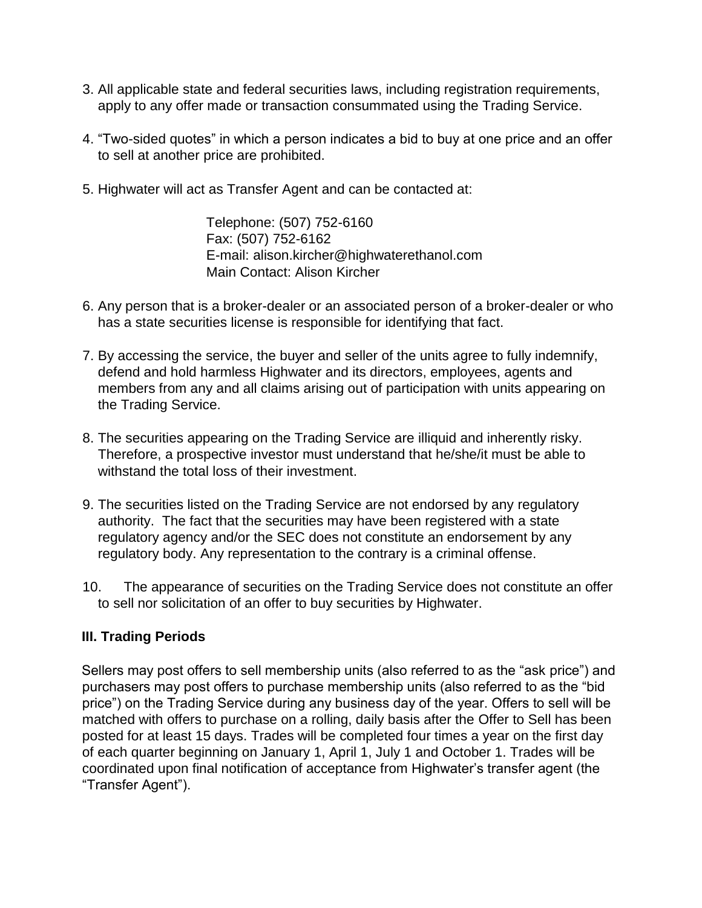- 3. All applicable state and federal securities laws, including registration requirements, apply to any offer made or transaction consummated using the Trading Service.
- 4. "Two-sided quotes" in which a person indicates a bid to buy at one price and an offer to sell at another price are prohibited.
- 5. Highwater will act as Transfer Agent and can be contacted at:

Telephone: (507) 752-6160 Fax: (507) 752-6162 E-mail: alison.kircher@highwaterethanol.com Main Contact: Alison Kircher

- 6. Any person that is a broker-dealer or an associated person of a broker-dealer or who has a state securities license is responsible for identifying that fact.
- 7. By accessing the service, the buyer and seller of the units agree to fully indemnify, defend and hold harmless Highwater and its directors, employees, agents and members from any and all claims arising out of participation with units appearing on the Trading Service.
- 8. The securities appearing on the Trading Service are illiquid and inherently risky. Therefore, a prospective investor must understand that he/she/it must be able to withstand the total loss of their investment.
- 9. The securities listed on the Trading Service are not endorsed by any regulatory authority. The fact that the securities may have been registered with a state regulatory agency and/or the SEC does not constitute an endorsement by any regulatory body. Any representation to the contrary is a criminal offense.
- 10. The appearance of securities on the Trading Service does not constitute an offer to sell nor solicitation of an offer to buy securities by Highwater.

## **III. Trading Periods**

Sellers may post offers to sell membership units (also referred to as the "ask price") and purchasers may post offers to purchase membership units (also referred to as the "bid price") on the Trading Service during any business day of the year. Offers to sell will be matched with offers to purchase on a rolling, daily basis after the Offer to Sell has been posted for at least 15 days. Trades will be completed four times a year on the first day of each quarter beginning on January 1, April 1, July 1 and October 1. Trades will be coordinated upon final notification of acceptance from Highwater's transfer agent (the "Transfer Agent").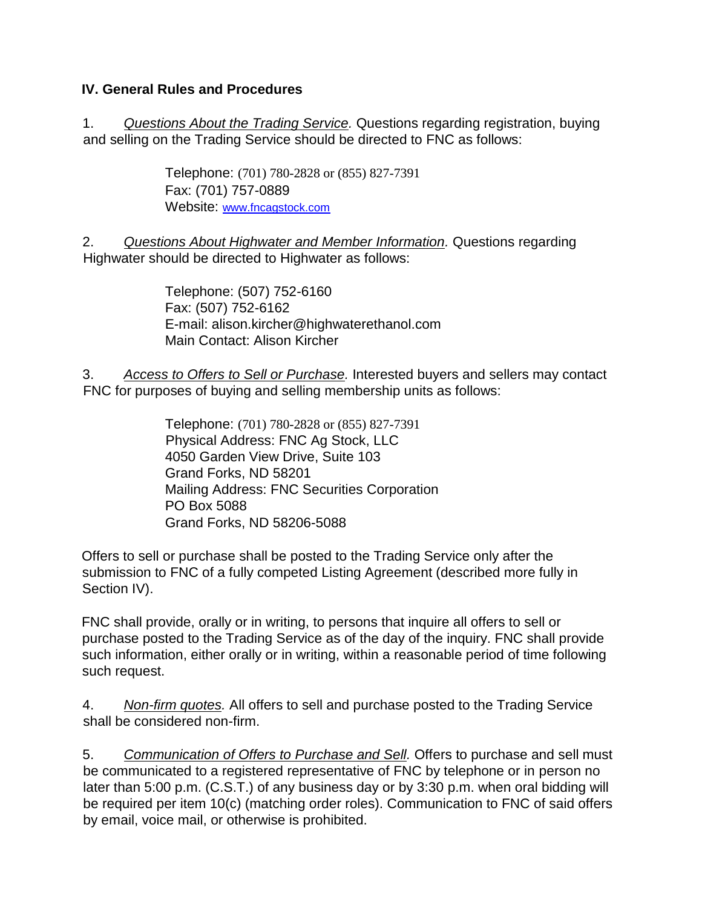## **IV. General Rules and Procedures**

1. *Questions About the Trading Service.* Questions regarding registration, buying and selling on the Trading Service should be directed to FNC as follows:

> Telephone: (701) 780-2828 or (855) 827-7391 Fax: (701) 757-0889 Website: [www.fncagstock.com](http://www.fncagstock.com/)

2. *Questions About Highwater and Member Information.* Questions regarding Highwater should be directed to Highwater as follows:

> Telephone: (507) 752-6160 Fax: (507) 752-6162 E-mail: alison.kircher@highwaterethanol.com Main Contact: Alison Kircher

3. *Access to Offers to Sell or Purchase.* Interested buyers and sellers may contact FNC for purposes of buying and selling membership units as follows:

> Telephone: (701) 780-2828 or (855) 827-7391 Physical Address: FNC Ag Stock, LLC 4050 Garden View Drive, Suite 103 Grand Forks, ND 58201 Mailing Address: FNC Securities Corporation PO Box 5088 Grand Forks, ND 58206-5088

Offers to sell or purchase shall be posted to the Trading Service only after the submission to FNC of a fully competed Listing Agreement (described more fully in Section IV).

FNC shall provide, orally or in writing, to persons that inquire all offers to sell or purchase posted to the Trading Service as of the day of the inquiry. FNC shall provide such information, either orally or in writing, within a reasonable period of time following such request.

4. *Non-firm quotes.* All offers to sell and purchase posted to the Trading Service shall be considered non-firm.

5. *Communication of Offers to Purchase and Sell.* Offers to purchase and sell must be communicated to a registered representative of FNC by telephone or in person no later than 5:00 p.m. (C.S.T.) of any business day or by 3:30 p.m. when oral bidding will be required per item 10(c) (matching order roles). Communication to FNC of said offers by email, voice mail, or otherwise is prohibited.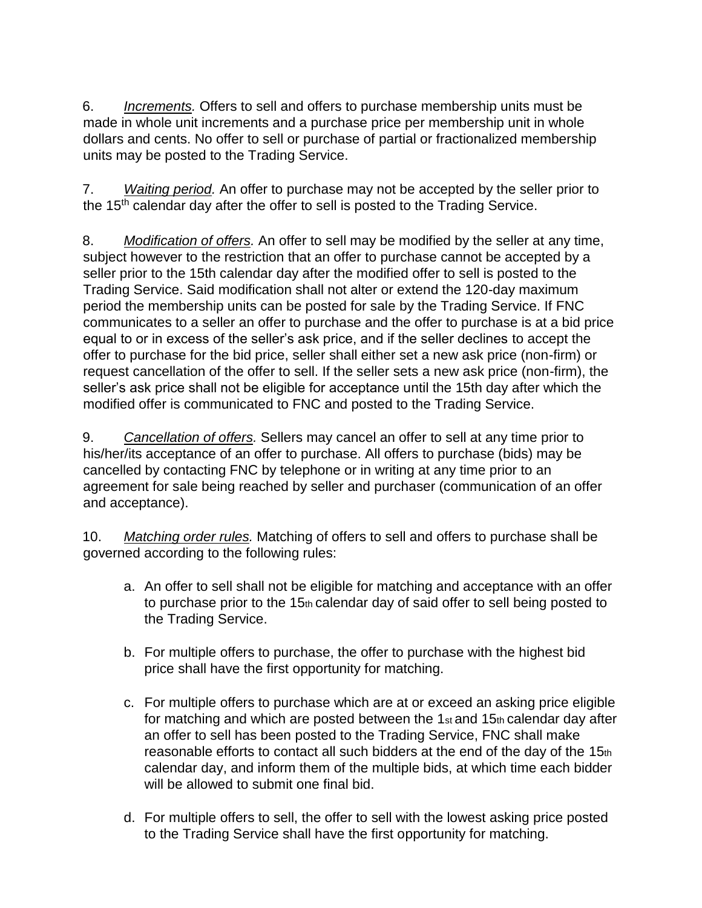6. *Increments.* Offers to sell and offers to purchase membership units must be made in whole unit increments and a purchase price per membership unit in whole dollars and cents. No offer to sell or purchase of partial or fractionalized membership units may be posted to the Trading Service.

7. *Waiting period.* An offer to purchase may not be accepted by the seller prior to the 15<sup>th</sup> calendar day after the offer to sell is posted to the Trading Service.

8. *Modification of offers.* An offer to sell may be modified by the seller at any time, subject however to the restriction that an offer to purchase cannot be accepted by a seller prior to the 15th calendar day after the modified offer to sell is posted to the Trading Service. Said modification shall not alter or extend the 120-day maximum period the membership units can be posted for sale by the Trading Service. If FNC communicates to a seller an offer to purchase and the offer to purchase is at a bid price equal to or in excess of the seller's ask price, and if the seller declines to accept the offer to purchase for the bid price, seller shall either set a new ask price (non-firm) or request cancellation of the offer to sell. If the seller sets a new ask price (non-firm), the seller's ask price shall not be eligible for acceptance until the 15th day after which the modified offer is communicated to FNC and posted to the Trading Service.

9. *Cancellation of offers.* Sellers may cancel an offer to sell at any time prior to his/her/its acceptance of an offer to purchase. All offers to purchase (bids) may be cancelled by contacting FNC by telephone or in writing at any time prior to an agreement for sale being reached by seller and purchaser (communication of an offer and acceptance).

10. *Matching order rules.* Matching of offers to sell and offers to purchase shall be governed according to the following rules:

- a. An offer to sell shall not be eligible for matching and acceptance with an offer to purchase prior to the 15th calendar day of said offer to sell being posted to the Trading Service.
- b. For multiple offers to purchase, the offer to purchase with the highest bid price shall have the first opportunity for matching.
- c. For multiple offers to purchase which are at or exceed an asking price eligible for matching and which are posted between the  $1<sub>st</sub>$  and  $15<sub>th</sub>$  calendar day after an offer to sell has been posted to the Trading Service, FNC shall make reasonable efforts to contact all such bidders at the end of the day of the 15th calendar day, and inform them of the multiple bids, at which time each bidder will be allowed to submit one final bid.
- d. For multiple offers to sell, the offer to sell with the lowest asking price posted to the Trading Service shall have the first opportunity for matching.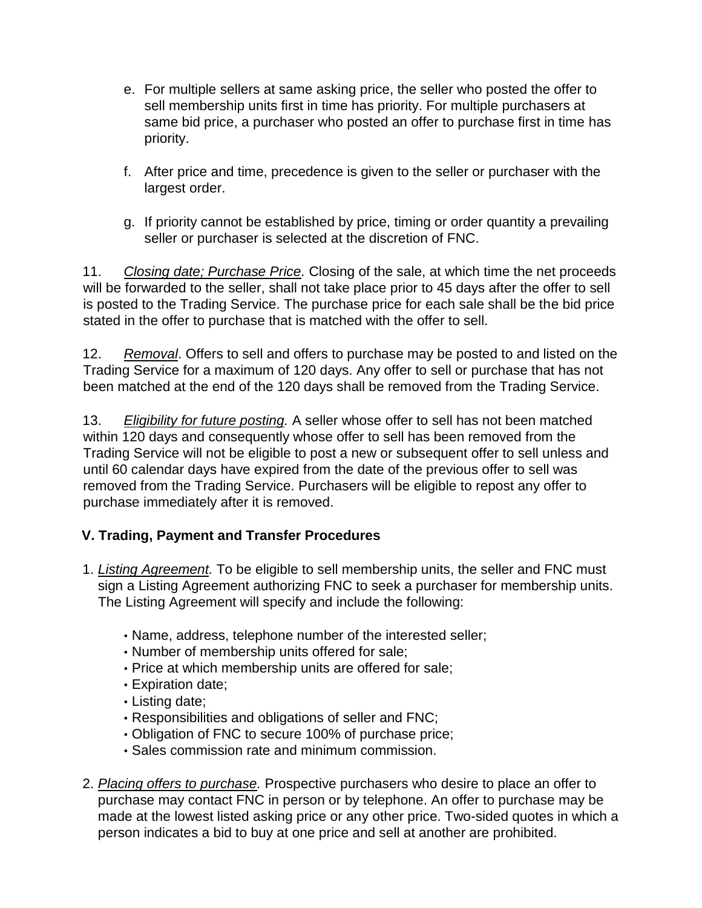- e. For multiple sellers at same asking price, the seller who posted the offer to sell membership units first in time has priority. For multiple purchasers at same bid price, a purchaser who posted an offer to purchase first in time has priority.
- f. After price and time, precedence is given to the seller or purchaser with the largest order.
- g. If priority cannot be established by price, timing or order quantity a prevailing seller or purchaser is selected at the discretion of FNC.

11. *Closing date; Purchase Price.* Closing of the sale, at which time the net proceeds will be forwarded to the seller, shall not take place prior to 45 days after the offer to sell is posted to the Trading Service. The purchase price for each sale shall be the bid price stated in the offer to purchase that is matched with the offer to sell.

12. *Removal*. Offers to sell and offers to purchase may be posted to and listed on the Trading Service for a maximum of 120 days. Any offer to sell or purchase that has not been matched at the end of the 120 days shall be removed from the Trading Service.

13. *Eligibility for future posting.* A seller whose offer to sell has not been matched within 120 days and consequently whose offer to sell has been removed from the Trading Service will not be eligible to post a new or subsequent offer to sell unless and until 60 calendar days have expired from the date of the previous offer to sell was removed from the Trading Service. Purchasers will be eligible to repost any offer to purchase immediately after it is removed.

# **V. Trading, Payment and Transfer Procedures**

- 1. *Listing Agreement.* To be eligible to sell membership units, the seller and FNC must sign a Listing Agreement authorizing FNC to seek a purchaser for membership units. The Listing Agreement will specify and include the following:
	- Name, address, telephone number of the interested seller;
	- Number of membership units offered for sale;
	- Price at which membership units are offered for sale;
	- Expiration date;
	- Listing date;
	- Responsibilities and obligations of seller and FNC;
	- Obligation of FNC to secure 100% of purchase price;
	- Sales commission rate and minimum commission.
- 2. *Placing offers to purchase.* Prospective purchasers who desire to place an offer to purchase may contact FNC in person or by telephone. An offer to purchase may be made at the lowest listed asking price or any other price. Two-sided quotes in which a person indicates a bid to buy at one price and sell at another are prohibited.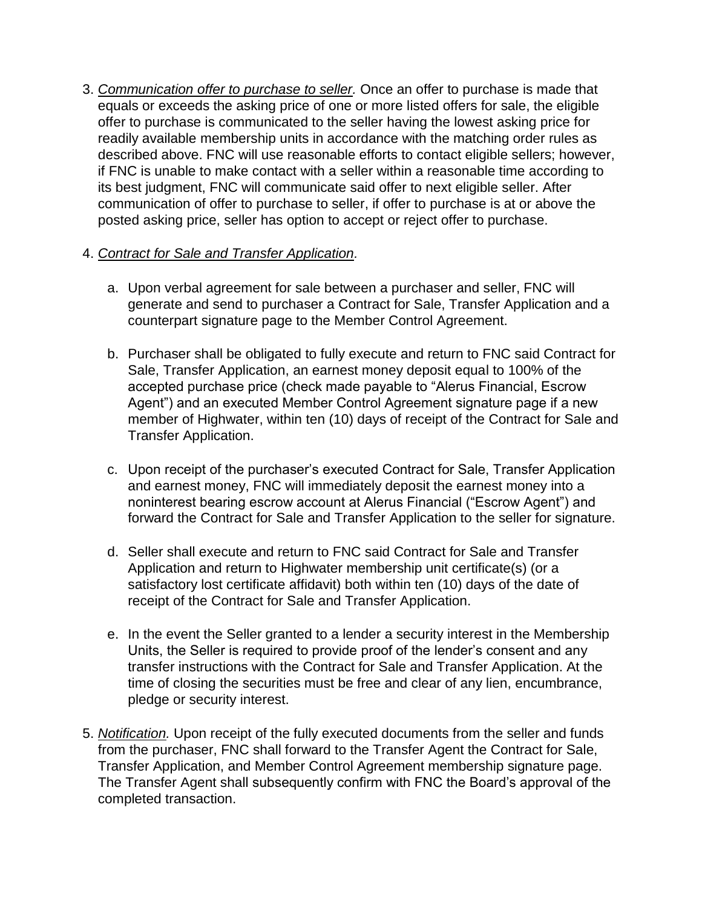3. *Communication offer to purchase to seller.* Once an offer to purchase is made that equals or exceeds the asking price of one or more listed offers for sale, the eligible offer to purchase is communicated to the seller having the lowest asking price for readily available membership units in accordance with the matching order rules as described above. FNC will use reasonable efforts to contact eligible sellers; however, if FNC is unable to make contact with a seller within a reasonable time according to its best judgment, FNC will communicate said offer to next eligible seller. After communication of offer to purchase to seller, if offer to purchase is at or above the posted asking price, seller has option to accept or reject offer to purchase.

## 4. *Contract for Sale and Transfer Application.*

- a. Upon verbal agreement for sale between a purchaser and seller, FNC will generate and send to purchaser a Contract for Sale, Transfer Application and a counterpart signature page to the Member Control Agreement.
- b. Purchaser shall be obligated to fully execute and return to FNC said Contract for Sale, Transfer Application, an earnest money deposit equal to 100% of the accepted purchase price (check made payable to "Alerus Financial, Escrow Agent") and an executed Member Control Agreement signature page if a new member of Highwater, within ten (10) days of receipt of the Contract for Sale and Transfer Application.
- c. Upon receipt of the purchaser's executed Contract for Sale, Transfer Application and earnest money, FNC will immediately deposit the earnest money into a noninterest bearing escrow account at Alerus Financial ("Escrow Agent") and forward the Contract for Sale and Transfer Application to the seller for signature.
- d. Seller shall execute and return to FNC said Contract for Sale and Transfer Application and return to Highwater membership unit certificate(s) (or a satisfactory lost certificate affidavit) both within ten (10) days of the date of receipt of the Contract for Sale and Transfer Application.
- e. In the event the Seller granted to a lender a security interest in the Membership Units, the Seller is required to provide proof of the lender's consent and any transfer instructions with the Contract for Sale and Transfer Application. At the time of closing the securities must be free and clear of any lien, encumbrance, pledge or security interest.
- 5. *Notification.* Upon receipt of the fully executed documents from the seller and funds from the purchaser, FNC shall forward to the Transfer Agent the Contract for Sale, Transfer Application, and Member Control Agreement membership signature page. The Transfer Agent shall subsequently confirm with FNC the Board's approval of the completed transaction.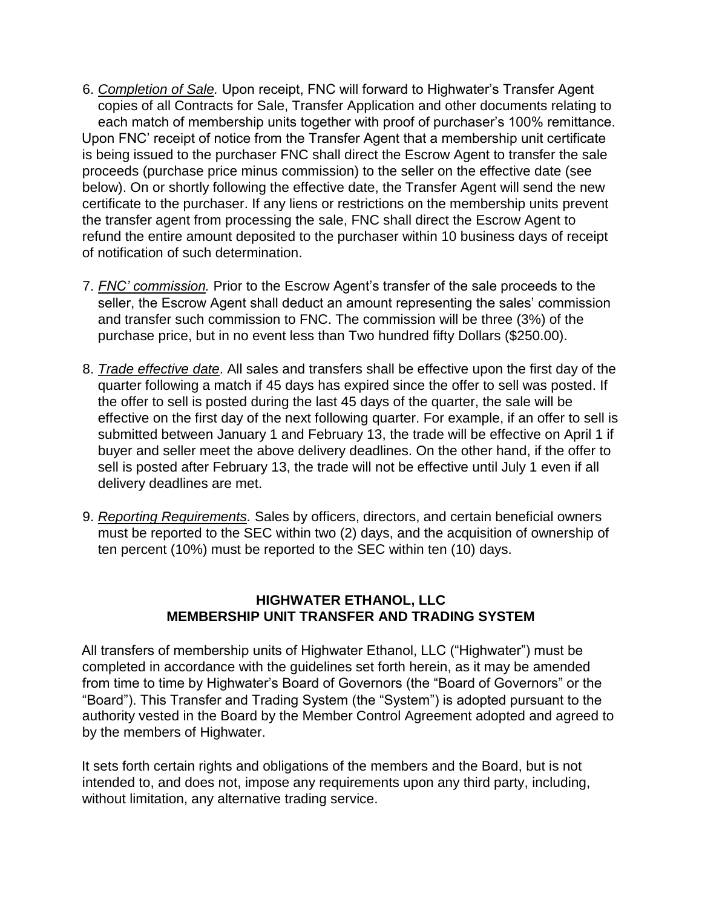- 6. *Completion of Sale.* Upon receipt, FNC will forward to Highwater's Transfer Agent copies of all Contracts for Sale, Transfer Application and other documents relating to each match of membership units together with proof of purchaser's 100% remittance. Upon FNC' receipt of notice from the Transfer Agent that a membership unit certificate is being issued to the purchaser FNC shall direct the Escrow Agent to transfer the sale proceeds (purchase price minus commission) to the seller on the effective date (see below). On or shortly following the effective date, the Transfer Agent will send the new certificate to the purchaser. If any liens or restrictions on the membership units prevent the transfer agent from processing the sale, FNC shall direct the Escrow Agent to refund the entire amount deposited to the purchaser within 10 business days of receipt of notification of such determination.
- 7. *FNC' commission.* Prior to the Escrow Agent's transfer of the sale proceeds to the seller, the Escrow Agent shall deduct an amount representing the sales' commission and transfer such commission to FNC. The commission will be three (3%) of the purchase price, but in no event less than Two hundred fifty Dollars (\$250.00).
- 8. *Trade effective date*. All sales and transfers shall be effective upon the first day of the quarter following a match if 45 days has expired since the offer to sell was posted. If the offer to sell is posted during the last 45 days of the quarter, the sale will be effective on the first day of the next following quarter. For example, if an offer to sell is submitted between January 1 and February 13, the trade will be effective on April 1 if buyer and seller meet the above delivery deadlines. On the other hand, if the offer to sell is posted after February 13, the trade will not be effective until July 1 even if all delivery deadlines are met.
- 9. *Reporting Requirements.* Sales by officers, directors, and certain beneficial owners must be reported to the SEC within two (2) days, and the acquisition of ownership of ten percent (10%) must be reported to the SEC within ten (10) days.

## **HIGHWATER ETHANOL, LLC MEMBERSHIP UNIT TRANSFER AND TRADING SYSTEM**

All transfers of membership units of Highwater Ethanol, LLC ("Highwater") must be completed in accordance with the guidelines set forth herein, as it may be amended from time to time by Highwater's Board of Governors (the "Board of Governors" or the "Board"). This Transfer and Trading System (the "System") is adopted pursuant to the authority vested in the Board by the Member Control Agreement adopted and agreed to by the members of Highwater.

It sets forth certain rights and obligations of the members and the Board, but is not intended to, and does not, impose any requirements upon any third party, including, without limitation, any alternative trading service.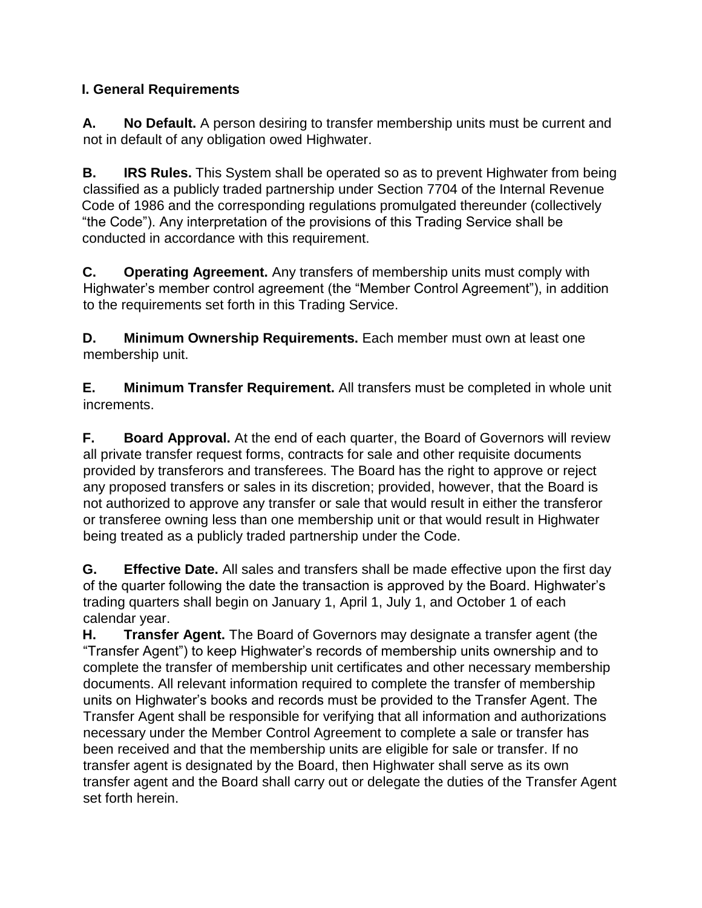# **I. General Requirements**

**A. No Default.** A person desiring to transfer membership units must be current and not in default of any obligation owed Highwater.

**B. IRS Rules.** This System shall be operated so as to prevent Highwater from being classified as a publicly traded partnership under Section 7704 of the Internal Revenue Code of 1986 and the corresponding regulations promulgated thereunder (collectively "the Code"). Any interpretation of the provisions of this Trading Service shall be conducted in accordance with this requirement.

**C. Operating Agreement.** Any transfers of membership units must comply with Highwater's member control agreement (the "Member Control Agreement"), in addition to the requirements set forth in this Trading Service.

**D. Minimum Ownership Requirements.** Each member must own at least one membership unit.

**E. Minimum Transfer Requirement.** All transfers must be completed in whole unit increments.

**F. Board Approval.** At the end of each quarter, the Board of Governors will review all private transfer request forms, contracts for sale and other requisite documents provided by transferors and transferees. The Board has the right to approve or reject any proposed transfers or sales in its discretion; provided, however, that the Board is not authorized to approve any transfer or sale that would result in either the transferor or transferee owning less than one membership unit or that would result in Highwater being treated as a publicly traded partnership under the Code.

**G. Effective Date.** All sales and transfers shall be made effective upon the first day of the quarter following the date the transaction is approved by the Board. Highwater's trading quarters shall begin on January 1, April 1, July 1, and October 1 of each calendar year.

**H. Transfer Agent.** The Board of Governors may designate a transfer agent (the "Transfer Agent") to keep Highwater's records of membership units ownership and to complete the transfer of membership unit certificates and other necessary membership documents. All relevant information required to complete the transfer of membership units on Highwater's books and records must be provided to the Transfer Agent. The Transfer Agent shall be responsible for verifying that all information and authorizations necessary under the Member Control Agreement to complete a sale or transfer has been received and that the membership units are eligible for sale or transfer. If no transfer agent is designated by the Board, then Highwater shall serve as its own transfer agent and the Board shall carry out or delegate the duties of the Transfer Agent set forth herein.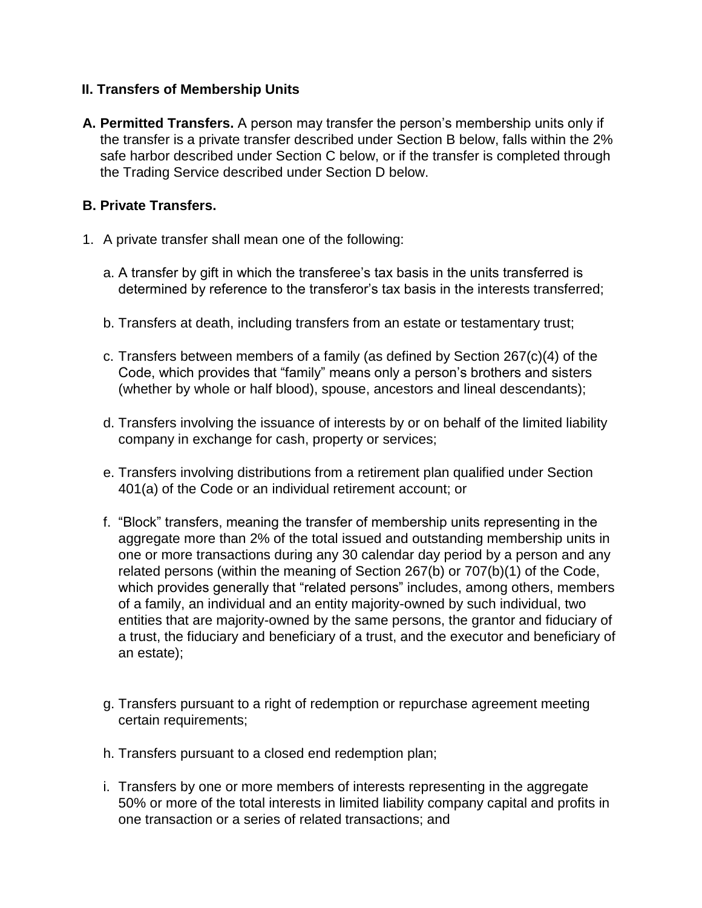### **II. Transfers of Membership Units**

**A. Permitted Transfers.** A person may transfer the person's membership units only if the transfer is a private transfer described under Section B below, falls within the 2% safe harbor described under Section C below, or if the transfer is completed through the Trading Service described under Section D below.

### **B. Private Transfers.**

- 1. A private transfer shall mean one of the following:
	- a. A transfer by gift in which the transferee's tax basis in the units transferred is determined by reference to the transferor's tax basis in the interests transferred;
	- b. Transfers at death, including transfers from an estate or testamentary trust;
	- c. Transfers between members of a family (as defined by Section 267(c)(4) of the Code, which provides that "family" means only a person's brothers and sisters (whether by whole or half blood), spouse, ancestors and lineal descendants);
	- d. Transfers involving the issuance of interests by or on behalf of the limited liability company in exchange for cash, property or services;
	- e. Transfers involving distributions from a retirement plan qualified under Section 401(a) of the Code or an individual retirement account; or
	- f. "Block" transfers, meaning the transfer of membership units representing in the aggregate more than 2% of the total issued and outstanding membership units in one or more transactions during any 30 calendar day period by a person and any related persons (within the meaning of Section 267(b) or 707(b)(1) of the Code, which provides generally that "related persons" includes, among others, members of a family, an individual and an entity majority-owned by such individual, two entities that are majority-owned by the same persons, the grantor and fiduciary of a trust, the fiduciary and beneficiary of a trust, and the executor and beneficiary of an estate);
	- g. Transfers pursuant to a right of redemption or repurchase agreement meeting certain requirements;
	- h. Transfers pursuant to a closed end redemption plan;
	- i. Transfers by one or more members of interests representing in the aggregate 50% or more of the total interests in limited liability company capital and profits in one transaction or a series of related transactions; and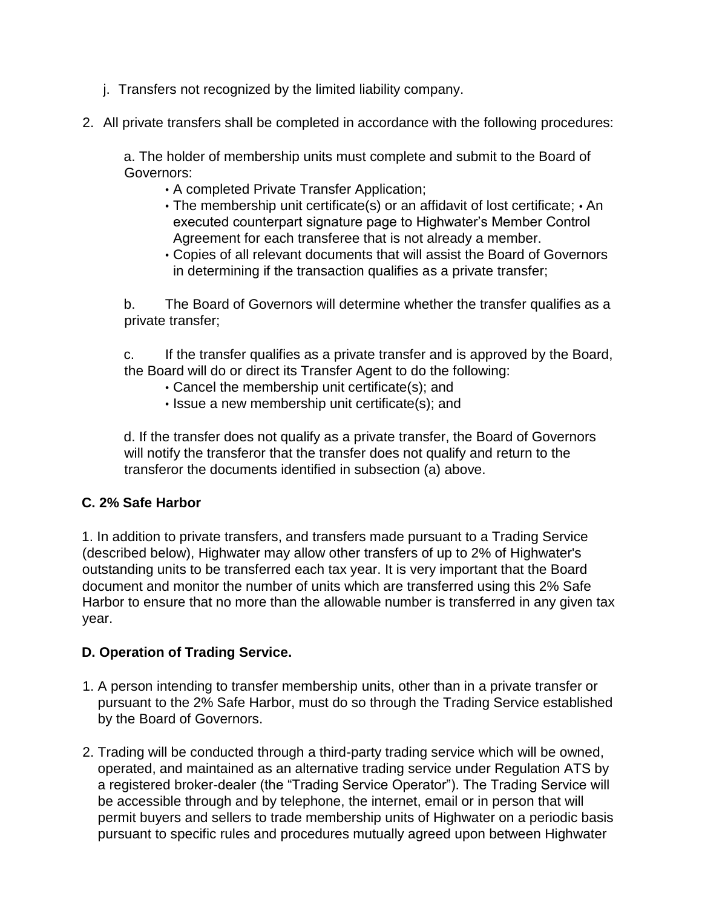- j. Transfers not recognized by the limited liability company.
- 2. All private transfers shall be completed in accordance with the following procedures:

a. The holder of membership units must complete and submit to the Board of Governors:

- A completed Private Transfer Application;
- The membership unit certificate(s) or an affidavit of lost certificate; An executed counterpart signature page to Highwater's Member Control Agreement for each transferee that is not already a member.
- Copies of all relevant documents that will assist the Board of Governors in determining if the transaction qualifies as a private transfer;

b. The Board of Governors will determine whether the transfer qualifies as a private transfer;

c. If the transfer qualifies as a private transfer and is approved by the Board, the Board will do or direct its Transfer Agent to do the following:

- Cancel the membership unit certificate(s); and
- Issue a new membership unit certificate(s); and

d. If the transfer does not qualify as a private transfer, the Board of Governors will notify the transferor that the transfer does not qualify and return to the transferor the documents identified in subsection (a) above.

## **C. 2% Safe Harbor**

1. In addition to private transfers, and transfers made pursuant to a Trading Service (described below), Highwater may allow other transfers of up to 2% of Highwater's outstanding units to be transferred each tax year. It is very important that the Board document and monitor the number of units which are transferred using this 2% Safe Harbor to ensure that no more than the allowable number is transferred in any given tax year.

## **D. Operation of Trading Service.**

- 1. A person intending to transfer membership units, other than in a private transfer or pursuant to the 2% Safe Harbor, must do so through the Trading Service established by the Board of Governors.
- 2. Trading will be conducted through a third-party trading service which will be owned, operated, and maintained as an alternative trading service under Regulation ATS by a registered broker-dealer (the "Trading Service Operator"). The Trading Service will be accessible through and by telephone, the internet, email or in person that will permit buyers and sellers to trade membership units of Highwater on a periodic basis pursuant to specific rules and procedures mutually agreed upon between Highwater